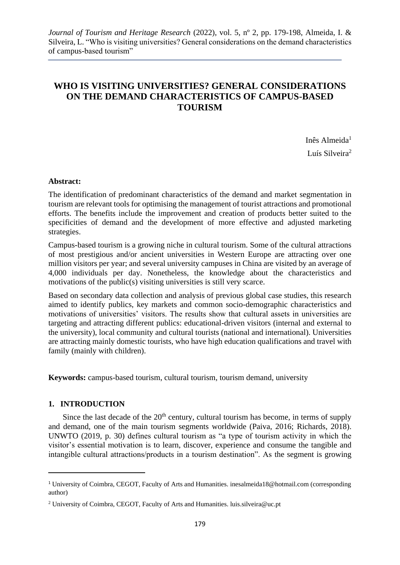# **WHO IS VISITING UNIVERSITIES? GENERAL CONSIDERATIONS ON THE DEMAND CHARACTERISTICS OF CAMPUS-BASED TOURISM**

Inês Almeida<sup>1</sup> Luís Silveira<sup>2</sup>

# **Abstract:**

The identification of predominant characteristics of the demand and market segmentation in tourism are relevant tools for optimising the management of tourist attractions and promotional efforts. The benefits include the improvement and creation of products better suited to the specificities of demand and the development of more effective and adjusted marketing strategies.

Campus-based tourism is a growing niche in cultural tourism. Some of the cultural attractions of most prestigious and/or ancient universities in Western Europe are attracting over one million visitors per year; and several university campuses in China are visited by an average of 4,000 individuals per day. Nonetheless, the knowledge about the characteristics and motivations of the public(s) visiting universities is still very scarce.

Based on secondary data collection and analysis of previous global case studies, this research aimed to identify publics, key markets and common socio-demographic characteristics and motivations of universities' visitors. The results show that cultural assets in universities are targeting and attracting different publics: educational-driven visitors (internal and external to the university), local community and cultural tourists (national and international). Universities are attracting mainly domestic tourists, who have high education qualifications and travel with family (mainly with children).

**Keywords:** campus-based tourism, cultural tourism, tourism demand, university

# **1. INTRODUCTION**

Since the last decade of the  $20<sup>th</sup>$  century, cultural tourism has become, in terms of supply and demand, one of the main tourism segments worldwide (Paiva, 2016; Richards, 2018). UNWTO (2019, p. 30) defines cultural tourism as "a type of tourism activity in which the visitor's essential motivation is to learn, discover, experience and consume the tangible and intangible cultural attractions/products in a tourism destination". As the segment is growing

<sup>1</sup> University of Coimbra, CEGOT, Faculty of Arts and Humanities. inesalmeida18@hotmail.com (corresponding author)

<sup>&</sup>lt;sup>2</sup> University of Coimbra, CEGOT, Faculty of Arts and Humanities. luis.silveira@uc.pt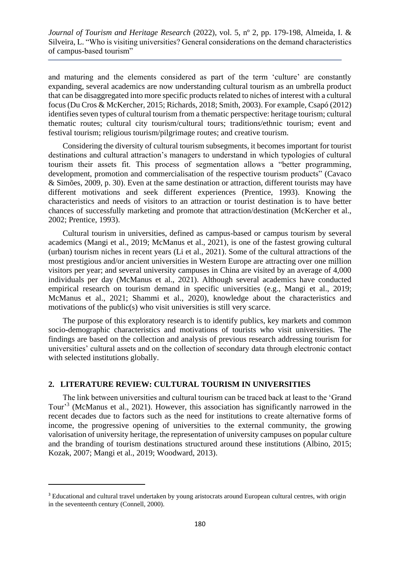and maturing and the elements considered as part of the term 'culture' are constantly expanding, several academics are now understanding cultural tourism as an umbrella product that can be disaggregated into more specific products related to niches of interest with a cultural focus (Du Cros & McKercher, 2015; Richards, 2018; Smith, 2003). For example, Csapó (2012) identifies seven types of cultural tourism from a thematic perspective: heritage tourism; cultural thematic routes; cultural city tourism/cultural tours; traditions/ethnic tourism; event and festival tourism; religious tourism/pilgrimage routes; and creative tourism.

Considering the diversity of cultural tourism subsegments, it becomes important for tourist destinations and cultural attraction's managers to understand in which typologies of cultural tourism their assets fit. This process of segmentation allows a "better programming, development, promotion and commercialisation of the respective tourism products" (Cavaco & Simões, 2009, p. 30). Even at the same destination or attraction, different tourists may have different motivations and seek different experiences (Prentice, 1993). Knowing the characteristics and needs of visitors to an attraction or tourist destination is to have better chances of successfully marketing and promote that attraction/destination (McKercher et al., 2002; Prentice, 1993).

Cultural tourism in universities, defined as campus-based or campus tourism by several academics (Mangi et al., 2019; McManus et al., 2021), is one of the fastest growing cultural (urban) tourism niches in recent years (Li et al., 2021). Some of the cultural attractions of the most prestigious and/or ancient universities in Western Europe are attracting over one million visitors per year; and several university campuses in China are visited by an average of 4,000 individuals per day (McManus et al., 2021). Although several academics have conducted empirical research on tourism demand in specific universities (e.g., Mangi et al., 2019; McManus et al., 2021; Shammi et al., 2020), knowledge about the characteristics and motivations of the public(s) who visit universities is still very scarce.

The purpose of this exploratory research is to identify publics, key markets and common socio-demographic characteristics and motivations of tourists who visit universities. The findings are based on the collection and analysis of previous research addressing tourism for universities' cultural assets and on the collection of secondary data through electronic contact with selected institutions globally.

# **2. LITERATURE REVIEW: CULTURAL TOURISM IN UNIVERSITIES**

The link between universities and cultural tourism can be traced back at least to the 'Grand Tour<sup>3</sup> (McManus et al., 2021). However, this association has significantly narrowed in the recent decades due to factors such as the need for institutions to create alternative forms of income, the progressive opening of universities to the external community, the growing valorisation of university heritage, the representation of university campuses on popular culture and the branding of tourism destinations structured around these institutions (Albino, 2015; Kozak, 2007; Mangi et al., 2019; Woodward, 2013).

<sup>&</sup>lt;sup>3</sup> Educational and cultural travel undertaken by young aristocrats around European cultural centres, with origin in the seventeenth century (Connell, 2000).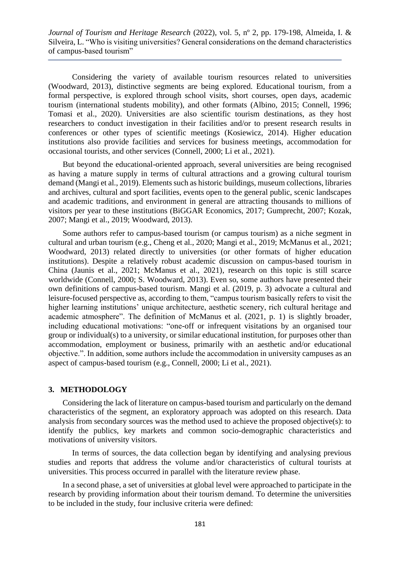Considering the variety of available tourism resources related to universities (Woodward, 2013), distinctive segments are being explored. Educational tourism, from a formal perspective, is explored through school visits, short courses, open days, academic tourism (international students mobility), and other formats (Albino, 2015; Connell, 1996; Tomasi et al., 2020). Universities are also scientific tourism destinations, as they host researchers to conduct investigation in their facilities and/or to present research results in conferences or other types of scientific meetings (Kosiewicz, 2014). Higher education institutions also provide facilities and services for business meetings, accommodation for occasional tourists, and other services (Connell, 2000; Li et al., 2021).

But beyond the educational-oriented approach, several universities are being recognised as having a mature supply in terms of cultural attractions and a growing cultural tourism demand (Mangi et al., 2019). Elements such as historic buildings, museum collections, libraries and archives, cultural and sport facilities, events open to the general public, scenic landscapes and academic traditions, and environment in general are attracting thousands to millions of visitors per year to these institutions (BiGGAR Economics, 2017; Gumprecht, 2007; Kozak, 2007; Mangi et al., 2019; Woodward, 2013).

Some authors refer to campus-based tourism (or campus tourism) as a niche segment in cultural and urban tourism (e.g., Cheng et al., 2020; Mangi et al., 2019; McManus et al., 2021; Woodward, 2013) related directly to universities (or other formats of higher education institutions). Despite a relatively robust academic discussion on campus-based tourism in China (Jaunis et al., 2021; McManus et al., 2021), research on this topic is still scarce worldwide (Connell, 2000; S. Woodward, 2013). Even so, some authors have presented their own definitions of campus-based tourism. Mangi et al. (2019, p. 3) advocate a cultural and leisure-focused perspective as, according to them, "campus tourism basically refers to visit the higher learning institutions' unique architecture, aesthetic scenery, rich cultural heritage and academic atmosphere". The definition of McManus et al. (2021, p. 1) is slightly broader, including educational motivations: "one-off or infrequent visitations by an organised tour group or individual(s) to a university, or similar educational institution, for purposes other than accommodation, employment or business, primarily with an aesthetic and/or educational objective.". In addition, some authors include the accommodation in university campuses as an aspect of campus-based tourism (e.g., Connell, 2000; Li et al., 2021).

# **3. METHODOLOGY**

Considering the lack of literature on campus-based tourism and particularly on the demand characteristics of the segment, an exploratory approach was adopted on this research. Data analysis from secondary sources was the method used to achieve the proposed objective(s): to identify the publics, key markets and common socio-demographic characteristics and motivations of university visitors.

In terms of sources, the data collection began by identifying and analysing previous studies and reports that address the volume and/or characteristics of cultural tourists at universities. This process occurred in parallel with the literature review phase.

In a second phase, a set of universities at global level were approached to participate in the research by providing information about their tourism demand. To determine the universities to be included in the study, four inclusive criteria were defined: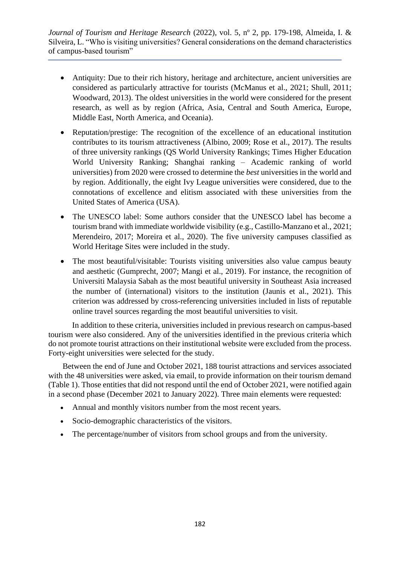- Antiquity: Due to their rich history, heritage and architecture, ancient universities are considered as particularly attractive for tourists (McManus et al., 2021; Shull, 2011; Woodward, 2013). The oldest universities in the world were considered for the present research, as well as by region (Africa, Asia, Central and South America, Europe, Middle East, North America, and Oceania).
- Reputation/prestige: The recognition of the excellence of an educational institution contributes to its tourism attractiveness (Albino, 2009; Rose et al., 2017). The results of three university rankings (QS World University Rankings; Times Higher Education World University Ranking; Shanghai ranking – Academic ranking of world universities) from 2020 were crossed to determine the *best* universities in the world and by region. Additionally, the eight Ivy League universities were considered, due to the connotations of excellence and elitism associated with these universities from the United States of America (USA).
- The UNESCO label: Some authors consider that the UNESCO label has become a tourism brand with immediate worldwide visibility (e.g., Castillo-Manzano et al., 2021; Merendeiro, 2017; Moreira et al., 2020). The five university campuses classified as World Heritage Sites were included in the study.
- The most beautiful/visitable: Tourists visiting universities also value campus beauty and aesthetic (Gumprecht, 2007; Mangi et al., 2019). For instance, the recognition of Universiti Malaysia Sabah as the most beautiful university in Southeast Asia increased the number of (international) visitors to the institution (Jaunis et al., 2021). This criterion was addressed by cross-referencing universities included in lists of reputable online travel sources regarding the most beautiful universities to visit.

In addition to these criteria, universities included in previous research on campus-based tourism were also considered. Any of the universities identified in the previous criteria which do not promote tourist attractions on their institutional website were excluded from the process. Forty-eight universities were selected for the study.

Between the end of June and October 2021, 188 tourist attractions and services associated with the 48 universities were asked, via email, to provide information on their tourism demand (Table 1). Those entities that did not respond until the end of October 2021, were notified again in a second phase (December 2021 to January 2022). Three main elements were requested:

- Annual and monthly visitors number from the most recent years.
- Socio-demographic characteristics of the visitors.
- The percentage/number of visitors from school groups and from the university.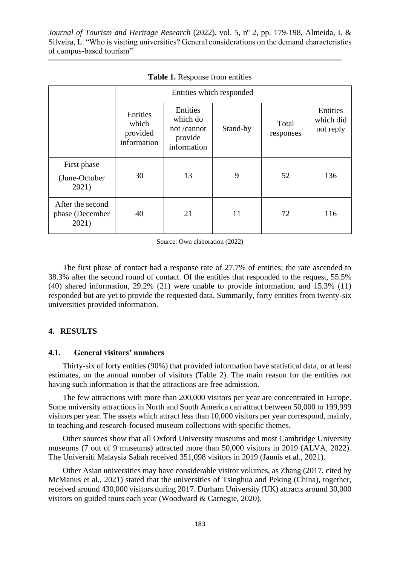|                                              | Entities<br>which<br>provided<br>information | Entities<br>which do<br>not /cannot<br>provide<br>information | Stand-by | Total<br>responses | Entities<br>which did<br>not reply |
|----------------------------------------------|----------------------------------------------|---------------------------------------------------------------|----------|--------------------|------------------------------------|
| First phase<br>(June-October<br>2021)        | 30                                           | 13                                                            | 9        | 52                 | 136                                |
| After the second<br>phase (December<br>2021) | 40                                           | 21                                                            | 11       | 72                 | 116                                |

**Table 1.** Response from entities

Source: Own elaboration (2022)

The first phase of contact had a response rate of 27.7% of entities; the rate ascended to 38.3% after the second round of contact. Of the entities that responded to the request, 55.5% (40) shared information, 29.2% (21) were unable to provide information, and 15.3% (11) responded but are yet to provide the requested data. Summarily, forty entities from twenty-six universities provided information.

## **4. RESULTS**

## **4.1. General visitors' numbers**

Thirty-six of forty entities (90%) that provided information have statistical data, or at least estimates, on the annual number of visitors (Table 2). The main reason for the entities not having such information is that the attractions are free admission.

The few attractions with more than 200,000 visitors per year are concentrated in Europe. Some university attractions in North and South America can attract between 50,000 to 199,999 visitors per year. The assets which attract less than 10,000 visitors per year correspond, mainly, to teaching and research-focused museum collections with specific themes.

Other sources show that all Oxford University museums and most Cambridge University museums (7 out of 9 museums) attracted more than 50,000 visitors in 2019 (ALVA, 2022). The Universiti Malaysia Sabah received 351,098 visitors in 2019 (Jaunis et al., 2021).

Other Asian universities may have considerable visitor volumes, as Zhang (2017, cited by McManus et al., 2021) stated that the universities of Tsinghua and Peking (China), together, received around 430,000 visitors during 2017. Durham University (UK) attracts around 30,000 visitors on guided tours each year (Woodward & Carnegie, 2020).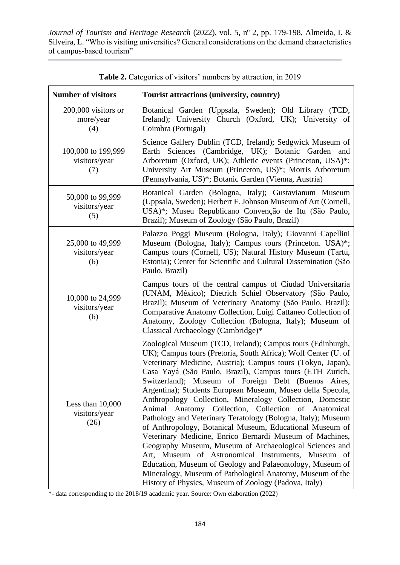| <b>Number of visitors</b>                   | Tourist attractions (university, country)                                                                                                                                                                                                                                                                                                                                                                                                                                                                                                                                                                                                                                                                                                                                                                                                                                                                                                                                                   |  |  |  |  |
|---------------------------------------------|---------------------------------------------------------------------------------------------------------------------------------------------------------------------------------------------------------------------------------------------------------------------------------------------------------------------------------------------------------------------------------------------------------------------------------------------------------------------------------------------------------------------------------------------------------------------------------------------------------------------------------------------------------------------------------------------------------------------------------------------------------------------------------------------------------------------------------------------------------------------------------------------------------------------------------------------------------------------------------------------|--|--|--|--|
| 200,000 visitors or<br>more/year<br>(4)     | Botanical Garden (Uppsala, Sweden); Old Library (TCD,<br>Ireland); University Church (Oxford, UK); University of<br>Coimbra (Portugal)                                                                                                                                                                                                                                                                                                                                                                                                                                                                                                                                                                                                                                                                                                                                                                                                                                                      |  |  |  |  |
| 100,000 to 199,999<br>visitors/year<br>(7)  | Science Gallery Dublin (TCD, Ireland); Sedgwick Museum of<br>Earth Sciences (Cambridge, UK); Botanic Garden and<br>Arboretum (Oxford, UK); Athletic events (Princeton, USA)*;<br>University Art Museum (Princeton, US)*; Morris Arboretum<br>(Pennsylvania, US)*; Botanic Garden (Vienna, Austria)                                                                                                                                                                                                                                                                                                                                                                                                                                                                                                                                                                                                                                                                                          |  |  |  |  |
| 50,000 to 99,999<br>visitors/year<br>(5)    | Botanical Garden (Bologna, Italy); Gustavianum Museum<br>(Uppsala, Sweden); Herbert F. Johnson Museum of Art (Cornell,<br>USA)*; Museu Republicano Convenção de Itu (São Paulo,<br>Brazil); Museum of Zoology (São Paulo, Brazil)                                                                                                                                                                                                                                                                                                                                                                                                                                                                                                                                                                                                                                                                                                                                                           |  |  |  |  |
| 25,000 to 49,999<br>visitors/year<br>(6)    | Palazzo Poggi Museum (Bologna, Italy); Giovanni Capellini<br>Museum (Bologna, Italy); Campus tours (Princeton. USA)*;<br>Campus tours (Cornell, US); Natural History Museum (Tartu,<br>Estonia); Center for Scientific and Cultural Dissemination (São<br>Paulo, Brazil)                                                                                                                                                                                                                                                                                                                                                                                                                                                                                                                                                                                                                                                                                                                    |  |  |  |  |
| 10,000 to 24,999<br>visitors/year<br>(6)    | Campus tours of the central campus of Ciudad Universitaria<br>(UNAM, México); Dietrich Schiel Observatory (São Paulo,<br>Brazil); Museum of Veterinary Anatomy (São Paulo, Brazil);<br>Comparative Anatomy Collection, Luigi Cattaneo Collection of<br>Anatomy, Zoology Collection (Bologna, Italy); Museum of<br>Classical Archaeology (Cambridge)*                                                                                                                                                                                                                                                                                                                                                                                                                                                                                                                                                                                                                                        |  |  |  |  |
| Less than $10,000$<br>visitors/year<br>(26) | Zoological Museum (TCD, Ireland); Campus tours (Edinburgh,<br>UK); Campus tours (Pretoria, South Africa); Wolf Center (U. of<br>Veterinary Medicine, Austria); Campus tours (Tokyo, Japan),<br>Casa Yayá (São Paulo, Brazil), Campus tours (ETH Zurich,<br>Switzerland); Museum of Foreign Debt (Buenos Aires,<br>Argentina); Students European Museum, Museo della Specola,<br>Anthropology Collection, Mineralogy Collection, Domestic<br>Animal Anatomy Collection, Collection of Anatomical<br>Pathology and Veterinary Teratology (Bologna, Italy); Museum<br>of Anthropology, Botanical Museum, Educational Museum of<br>Veterinary Medicine, Enrico Bernardi Museum of Machines,<br>Geography Museum, Museum of Archaeological Sciences and<br>Art, Museum of Astronomical Instruments, Museum of<br>Education, Museum of Geology and Palaeontology, Museum of<br>Mineralogy, Museum of Pathological Anatomy, Museum of the<br>History of Physics, Museum of Zoology (Padova, Italy) |  |  |  |  |

**Table 2.** Categories of visitors' numbers by attraction, in 2019

\*- data corresponding to the 2018/19 academic year. Source: Own elaboration (2022)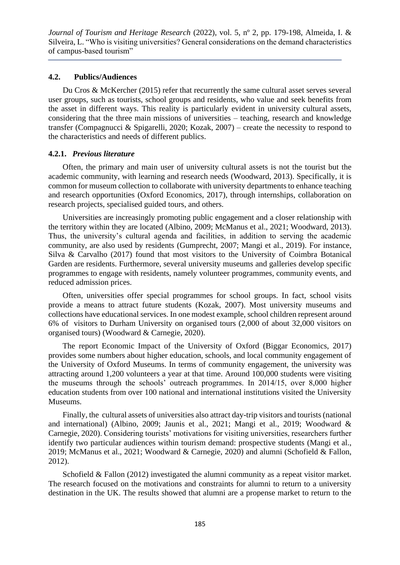# **4.2. Publics/Audiences**

Du Cros & McKercher (2015) refer that recurrently the same cultural asset serves several user groups, such as tourists, school groups and residents, who value and seek benefits from the asset in different ways. This reality is particularly evident in university cultural assets, considering that the three main missions of universities – teaching, research and knowledge transfer (Compagnucci & Spigarelli, 2020; Kozak, 2007) – create the necessity to respond to the characteristics and needs of different publics.

# **4.2.1.** *Previous literature*

Often, the primary and main user of university cultural assets is not the tourist but the academic community, with learning and research needs (Woodward, 2013). Specifically, it is common for museum collection to collaborate with university departments to enhance teaching and research opportunities (Oxford Economics, 2017), through internships, collaboration on research projects, specialised guided tours, and others.

Universities are increasingly promoting public engagement and a closer relationship with the territory within they are located (Albino, 2009; McManus et al., 2021; Woodward, 2013). Thus, the university's cultural agenda and facilities, in addition to serving the academic community, are also used by residents (Gumprecht, 2007; Mangi et al., 2019). For instance, Silva & Carvalho (2017) found that most visitors to the University of Coimbra Botanical Garden are residents. Furthermore, several university museums and galleries develop specific programmes to engage with residents, namely volunteer programmes, community events, and reduced admission prices.

Often, universities offer special programmes for school groups. In fact, school visits provide a means to attract future students (Kozak, 2007). Most university museums and collections have educational services. In one modest example, school children represent around 6% of visitors to Durham University on organised tours (2,000 of about 32,000 visitors on organised tours) (Woodward & Carnegie, 2020).

The report Economic Impact of the University of Oxford (Biggar Economics, 2017) provides some numbers about higher education, schools, and local community engagement of the University of Oxford Museums. In terms of community engagement, the university was attracting around 1,200 volunteers a year at that time. Around 100,000 students were visiting the museums through the schools' outreach programmes. In 2014/15, over 8,000 higher education students from over 100 national and international institutions visited the University Museums.

Finally, the cultural assets of universities also attract day-trip visitors and tourists (national and international) (Albino, 2009; Jaunis et al., 2021; Mangi et al., 2019; Woodward & Carnegie, 2020). Considering tourists' motivations for visiting universities, researchers further identify two particular audiences within tourism demand: prospective students (Mangi et al., 2019; McManus et al., 2021; Woodward & Carnegie, 2020) and alumni (Schofield & Fallon, 2012).

Schofield & Fallon (2012) investigated the alumni community as a repeat visitor market. The research focused on the motivations and constraints for alumni to return to a university destination in the UK. The results showed that alumni are a propense market to return to the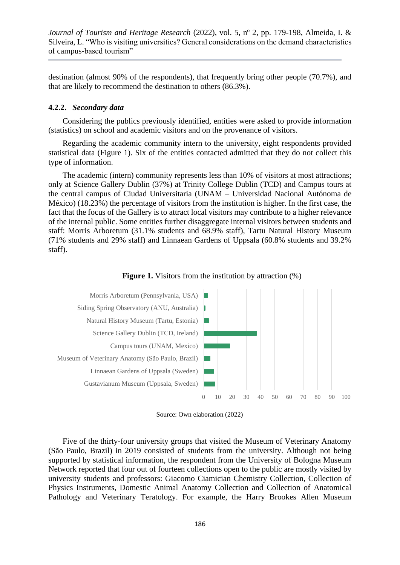destination (almost 90% of the respondents), that frequently bring other people (70.7%), and that are likely to recommend the destination to others (86.3%).

#### **4.2.2.** *Secondary data*

Considering the publics previously identified, entities were asked to provide information (statistics) on school and academic visitors and on the provenance of visitors.

Regarding the academic community intern to the university, eight respondents provided statistical data (Figure 1). Six of the entities contacted admitted that they do not collect this type of information.

The academic (intern) community represents less than 10% of visitors at most attractions; only at Science Gallery Dublin (37%) at Trinity College Dublin (TCD) and Campus tours at the central campus of Ciudad Universitaria (UNAM – Universidad Nacional Autónoma de México) (18.23%) the percentage of visitors from the institution is higher. In the first case, the fact that the focus of the Gallery is to attract local visitors may contribute to a higher relevance of the internal public. Some entities further disaggregate internal visitors between students and staff: Morris Arboretum (31.1% students and 68.9% staff), Tartu Natural History Museum (71% students and 29% staff) and Linnaean Gardens of Uppsala (60.8% students and 39.2% staff).







Five of the thirty-four university groups that visited the Museum of Veterinary Anatomy (São Paulo, Brazil) in 2019 consisted of students from the university. Although not being supported by statistical information, the respondent from the University of Bologna Museum Network reported that four out of fourteen collections open to the public are mostly visited by university students and professors: Giacomo Ciamician Chemistry Collection, Collection of Physics Instruments, Domestic Animal Anatomy Collection and Collection of Anatomical Pathology and Veterinary Teratology. For example, the Harry Brookes Allen Museum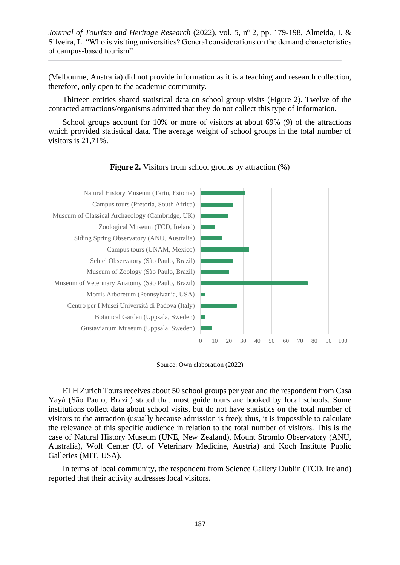(Melbourne, Australia) did not provide information as it is a teaching and research collection, therefore, only open to the academic community.

Thirteen entities shared statistical data on school group visits (Figure 2). Twelve of the contacted attractions/organisms admitted that they do not collect this type of information.

School groups account for 10% or more of visitors at about 69% (9) of the attractions which provided statistical data. The average weight of school groups in the total number of visitors is 21,71%.



**Figure 2.** Visitors from school groups by attraction  $(\%)$ 

Source: Own elaboration (2022)

ETH Zurich Tours receives about 50 school groups per year and the respondent from Casa Yayá (São Paulo, Brazil) stated that most guide tours are booked by local schools. Some institutions collect data about school visits, but do not have statistics on the total number of visitors to the attraction (usually because admission is free); thus, it is impossible to calculate the relevance of this specific audience in relation to the total number of visitors. This is the case of Natural History Museum (UNE, New Zealand), Mount Stromlo Observatory (ANU, Australia), Wolf Center (U. of Veterinary Medicine, Austria) and Koch Institute Public Galleries (MIT, USA).

In terms of local community, the respondent from Science Gallery Dublin (TCD, Ireland) reported that their activity addresses local visitors.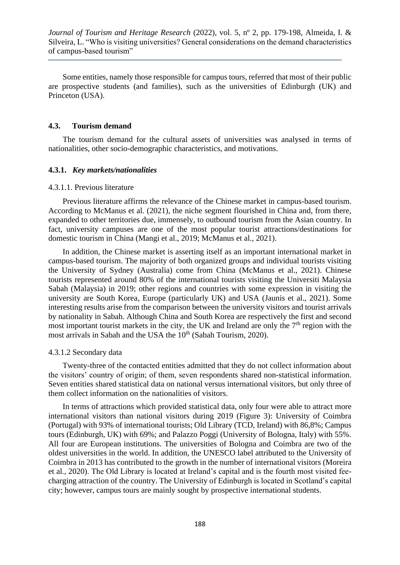Some entities, namely those responsible for campus tours, referred that most of their public are prospective students (and families), such as the universities of Edinburgh (UK) and Princeton (USA).

#### **4.3. Tourism demand**

The tourism demand for the cultural assets of universities was analysed in terms of nationalities, other socio-demographic characteristics, and motivations.

## **4.3.1.** *Key markets/nationalities*

## 4.3.1.1. Previous literature

Previous literature affirms the relevance of the Chinese market in campus-based tourism. According to McManus et al. (2021), the niche segment flourished in China and, from there, expanded to other territories due, immensely, to outbound tourism from the Asian country. In fact, university campuses are one of the most popular tourist attractions/destinations for domestic tourism in China (Mangi et al., 2019; McManus et al., 2021).

In addition, the Chinese market is asserting itself as an important international market in campus-based tourism. The majority of both organized groups and individual tourists visiting the University of Sydney (Australia) come from China (McManus et al., 2021). Chinese tourists represented around 80% of the international tourists visiting the Universiti Malaysia Sabah (Malaysia) in 2019; other regions and countries with some expression in visiting the university are South Korea, Europe (particularly UK) and USA (Jaunis et al., 2021). Some interesting results arise from the comparison between the university visitors and tourist arrivals by nationality in Sabah. Although China and South Korea are respectively the first and second most important tourist markets in the city, the UK and Ireland are only the  $7<sup>th</sup>$  region with the most arrivals in Sabah and the USA the 10<sup>th</sup> (Sabah Tourism, 2020).

## 4.3.1.2 Secondary data

Twenty-three of the contacted entities admitted that they do not collect information about the visitors' country of origin; of them, seven respondents shared non-statistical information. Seven entities shared statistical data on national versus international visitors, but only three of them collect information on the nationalities of visitors.

In terms of attractions which provided statistical data, only four were able to attract more international visitors than national visitors during 2019 (Figure 3): University of Coimbra (Portugal) with 93% of international tourists; Old Library (TCD, Ireland) with 86,8%; Campus tours (Edinburgh, UK) with 69%; and Palazzo Poggi (University of Bologna, Italy) with 55%. All four are European institutions. The universities of Bologna and Coimbra are two of the oldest universities in the world. In addition, the UNESCO label attributed to the University of Coimbra in 2013 has contributed to the growth in the number of international visitors (Moreira et al., 2020). The Old Library is located at Ireland's capital and is the fourth most visited feecharging attraction of the country. The University of Edinburgh is located in Scotland's capital city; however, campus tours are mainly sought by prospective international students.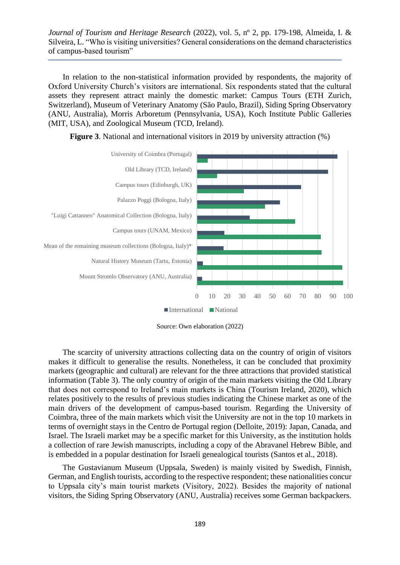In relation to the non-statistical information provided by respondents, the majority of Oxford University Church's visitors are international. Six respondents stated that the cultural assets they represent attract mainly the domestic market: Campus Tours (ETH Zurich, Switzerland), Museum of Veterinary Anatomy (São Paulo, Brazil), Siding Spring Observatory (ANU, Australia), Morris Arboretum (Pennsylvania, USA), Koch Institute Public Galleries (MIT, USA), and Zoological Museum (TCD, Ireland).





Source: Own elaboration (2022)

The scarcity of university attractions collecting data on the country of origin of visitors makes it difficult to generalise the results. Nonetheless, it can be concluded that proximity markets (geographic and cultural) are relevant for the three attractions that provided statistical information (Table 3). The only country of origin of the main markets visiting the Old Library that does not correspond to Ireland's main markets is China (Tourism Ireland, 2020), which relates positively to the results of previous studies indicating the Chinese market as one of the main drivers of the development of campus-based tourism. Regarding the University of Coimbra, three of the main markets which visit the University are not in the top 10 markets in terms of overnight stays in the Centro de Portugal region (Delloite, 2019): Japan, Canada, and Israel. The Israeli market may be a specific market for this University, as the institution holds a collection of rare Jewish manuscripts, including a copy of the Abravanel Hebrew Bible, and is embedded in a popular destination for Israeli genealogical tourists (Santos et al., 2018).

The Gustavianum Museum (Uppsala, Sweden) is mainly visited by Swedish, Finnish, German, and English tourists, according to the respective respondent; these nationalities concur to Uppsala city's main tourist markets (Visitory, 2022). Besides the majority of national visitors, the Siding Spring Observatory (ANU, Australia) receives some German backpackers.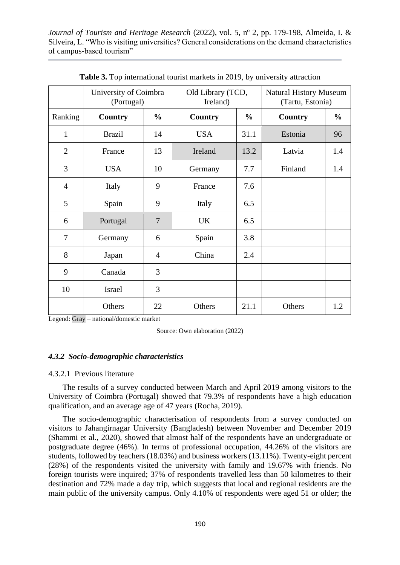|                | University of Coimbra<br>(Portugal) |                | Old Library (TCD,<br>Ireland) |               | <b>Natural History Museum</b><br>(Tartu, Estonia) |               |
|----------------|-------------------------------------|----------------|-------------------------------|---------------|---------------------------------------------------|---------------|
| Ranking        | <b>Country</b>                      | $\frac{0}{0}$  | <b>Country</b>                | $\frac{0}{0}$ | <b>Country</b>                                    | $\frac{0}{0}$ |
| $\mathbf{1}$   | <b>Brazil</b>                       | 14             | <b>USA</b>                    | 31.1          | Estonia                                           | 96            |
| $\overline{2}$ | France                              | 13             | Ireland                       | 13.2          | Latvia                                            | 1.4           |
| 3              | <b>USA</b>                          | 10             | Germany                       | 7.7           | Finland                                           | 1.4           |
| $\overline{4}$ | Italy                               | 9              | France                        | 7.6           |                                                   |               |
| 5              | Spain                               | 9              | Italy                         | 6.5           |                                                   |               |
| 6              | Portugal                            | $\overline{7}$ | <b>UK</b>                     | 6.5           |                                                   |               |
| $\tau$         | Germany                             | 6              | Spain                         | 3.8           |                                                   |               |
| 8              | Japan                               | $\overline{4}$ | China                         | 2.4           |                                                   |               |
| 9              | Canada                              | 3              |                               |               |                                                   |               |
| 10             | Israel                              | 3              |                               |               |                                                   |               |
|                | Others                              | 22             | Others                        | 21.1          | Others                                            | 1.2           |

**Table 3.** Top international tourist markets in 2019, by university attraction

Legend: Gray – national/domestic market

Source: Own elaboration (2022)

## *4.3.2 Socio-demographic characteristics*

#### 4.3.2.1 Previous literature

The results of a survey conducted between March and April 2019 among visitors to the University of Coimbra (Portugal) showed that 79.3% of respondents have a high education qualification, and an average age of 47 years (Rocha, 2019).

The socio-demographic characterisation of respondents from a survey conducted on visitors to Jahangirnagar University (Bangladesh) between November and December 2019 (Shammi et al., 2020), showed that almost half of the respondents have an undergraduate or postgraduate degree (46%). In terms of professional occupation, 44.26% of the visitors are students, followed by teachers (18.03%) and business workers (13.11%). Twenty-eight percent (28%) of the respondents visited the university with family and 19.67% with friends. No foreign tourists were inquired; 37% of respondents travelled less than 50 kilometres to their destination and 72% made a day trip, which suggests that local and regional residents are the main public of the university campus. Only 4.10% of respondents were aged 51 or older; the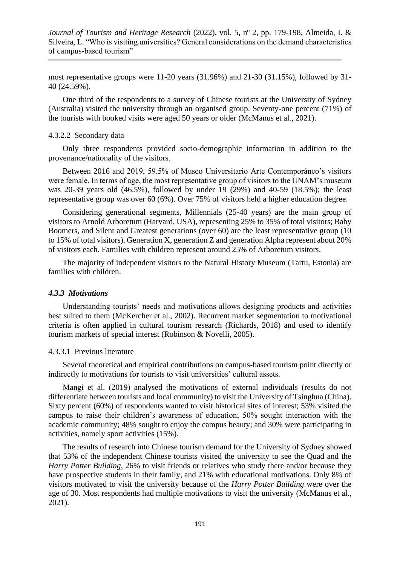most representative groups were 11-20 years (31.96%) and 21-30 (31.15%), followed by 31- 40 (24.59%).

One third of the respondents to a survey of Chinese tourists at the University of Sydney (Australia) visited the university through an organised group. Seventy-one percent (71%) of the tourists with booked visits were aged 50 years or older (McManus et al., 2021).

## 4.3.2.2 Secondary data

Only three respondents provided socio-demographic information in addition to the provenance/nationality of the visitors.

Between 2016 and 2019, 59.5% of Museo Universitario Arte Contemporáneo's visitors were female. In terms of age, the most representative group of visitors to the UNAM's museum was 20-39 years old (46.5%), followed by under 19 (29%) and 40-59 (18.5%); the least representative group was over 60 (6%). Over 75% of visitors held a higher education degree.

Considering generational segments, Millennials (25-40 years) are the main group of visitors to Arnold Arboretum (Harvard, USA), representing 25% to 35% of total visitors; Baby Boomers, and Silent and Greatest generations (over 60) are the least representative group (10 to 15% of total visitors). Generation X, generation Z and generation Alpha represent about 20% of visitors each. Families with children represent around 25% of Arboretum visitors.

The majority of independent visitors to the Natural History Museum (Tartu, Estonia) are families with children.

#### *4.3.3 Motivations*

Understanding tourists' needs and motivations allows designing products and activities best suited to them (McKercher et al., 2002). Recurrent market segmentation to motivational criteria is often applied in cultural tourism research (Richards, 2018) and used to identify tourism markets of special interest (Robinson & Novelli, 2005).

#### 4.3.3.1 Previous literature

Several theoretical and empirical contributions on campus-based tourism point directly or indirectly to motivations for tourists to visit universities' cultural assets.

Mangi et al. (2019) analysed the motivations of external individuals (results do not differentiate between tourists and local community) to visit the University of Tsinghua (China). Sixty percent (60%) of respondents wanted to visit historical sites of interest; 53% visited the campus to raise their children's awareness of education; 50% sought interaction with the academic community; 48% sought to enjoy the campus beauty; and 30% were participating in activities, namely sport activities (15%).

The results of research into Chinese tourism demand for the University of Sydney showed that 53% of the independent Chinese tourists visited the university to see the Quad and the *Harry Potter Building*, 26% to visit friends or relatives who study there and/or because they have prospective students in their family, and 21% with educational motivations. Only 8% of visitors motivated to visit the university because of the *Harry Potter Building* were over the age of 30. Most respondents had multiple motivations to visit the university (McManus et al., 2021).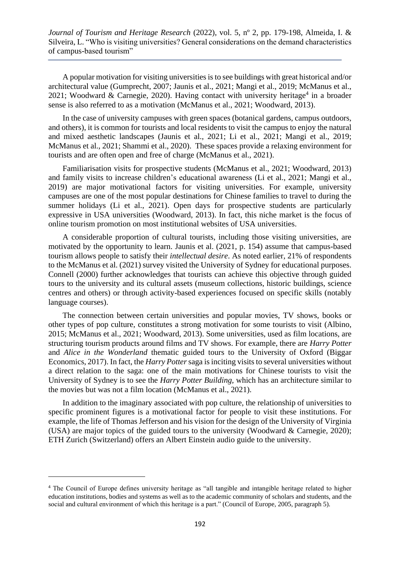A popular motivation for visiting universities is to see buildings with great historical and/or architectural value (Gumprecht, 2007; Jaunis et al., 2021; Mangi et al., 2019; McManus et al., 2021; Woodward & Carnegie, 2020). Having contact with university heritage<sup>4</sup> in a broader sense is also referred to as a motivation (McManus et al., 2021; Woodward, 2013).

In the case of university campuses with green spaces (botanical gardens, campus outdoors, and others), it is common for tourists and local residents to visit the campus to enjoy the natural and mixed aesthetic landscapes (Jaunis et al., 2021; Li et al., 2021; Mangi et al., 2019; McManus et al., 2021; Shammi et al., 2020). These spaces provide a relaxing environment for tourists and are often open and free of charge (McManus et al., 2021).

Familiarisation visits for prospective students (McManus et al., 2021; Woodward, 2013) and family visits to increase children's educational awareness (Li et al., 2021; Mangi et al., 2019) are major motivational factors for visiting universities. For example, university campuses are one of the most popular destinations for Chinese families to travel to during the summer holidays (Li et al., 2021). Open days for prospective students are particularly expressive in USA universities (Woodward, 2013). In fact, this niche market is the focus of online tourism promotion on most institutional websites of USA universities.

A considerable proportion of cultural tourists, including those visiting universities, are motivated by the opportunity to learn. Jaunis et al. (2021, p. 154) assume that campus-based tourism allows people to satisfy their *intellectual desire*. As noted earlier, 21% of respondents to the McManus et al. (2021) survey visited the University of Sydney for educational purposes. Connell (2000) further acknowledges that tourists can achieve this objective through guided tours to the university and its cultural assets (museum collections, historic buildings, science centres and others) or through activity-based experiences focused on specific skills (notably language courses).

The connection between certain universities and popular movies, TV shows, books or other types of pop culture, constitutes a strong motivation for some tourists to visit (Albino, 2015; McManus et al., 2021; Woodward, 2013). Some universities, used as film locations, are structuring tourism products around films and TV shows. For example, there are *Harry Potter* and *Alice in the Wonderland* thematic guided tours to the University of Oxford (Biggar Economics, 2017). In fact, the *Harry Potter* saga is inciting visits to several universities without a direct relation to the saga: one of the main motivations for Chinese tourists to visit the University of Sydney is to see the *Harry Potter Building,* which has an architecture similar to the movies but was not a film location (McManus et al., 2021).

In addition to the imaginary associated with pop culture, the relationship of universities to specific prominent figures is a motivational factor for people to visit these institutions. For example, the life of Thomas Jefferson and his vision for the design of the University of Virginia (USA) are major topics of the guided tours to the university (Woodward & Carnegie, 2020); ETH Zurich (Switzerland) offers an Albert Einstein audio guide to the university.

<sup>4</sup> The Council of Europe defines university heritage as "all tangible and intangible heritage related to higher education institutions, bodies and systems as well as to the academic community of scholars and students, and the social and cultural environment of which this heritage is a part." (Council of Europe, 2005, paragraph 5).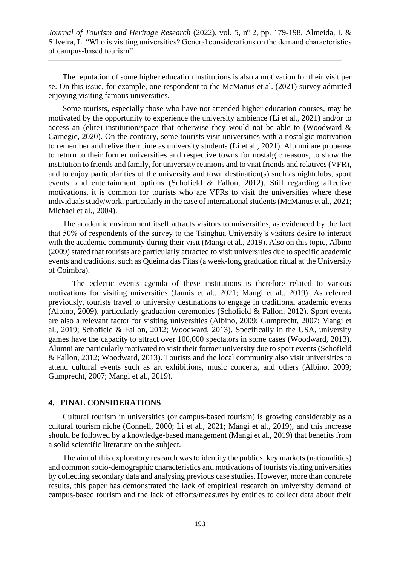The reputation of some higher education institutions is also a motivation for their visit per se. On this issue, for example, one respondent to the McManus et al. (2021) survey admitted enjoying visiting famous universities.

Some tourists, especially those who have not attended higher education courses, may be motivated by the opportunity to experience the university ambience (Li et al., 2021) and/or to access an (elite) institution/space that otherwise they would not be able to (Woodward  $\&$ Carnegie, 2020). On the contrary, some tourists visit universities with a nostalgic motivation to remember and relive their time as university students (Li et al., 2021). Alumni are propense to return to their former universities and respective towns for nostalgic reasons, to show the institution to friends and family, for university reunions and to visit friends and relatives (VFR), and to enjoy particularities of the university and town destination(s) such as nightclubs, sport events, and entertainment options (Schofield & Fallon, 2012). Still regarding affective motivations, it is common for tourists who are VFRs to visit the universities where these individuals study/work, particularly in the case of international students (McManus et al., 2021; Michael et al., 2004).

The academic environment itself attracts visitors to universities, as evidenced by the fact that 50% of respondents of the survey to the Tsinghua University's visitors desire to interact with the academic community during their visit (Mangi et al., 2019). Also on this topic, Albino (2009) stated that tourists are particularly attracted to visit universities due to specific academic events and traditions, such as Queima das Fitas (a week-long graduation ritual at the University of Coimbra).

The eclectic events agenda of these institutions is therefore related to various motivations for visiting universities (Jaunis et al., 2021; Mangi et al., 2019). As referred previously, tourists travel to university destinations to engage in traditional academic events (Albino, 2009), particularly graduation ceremonies (Schofield & Fallon, 2012). Sport events are also a relevant factor for visiting universities (Albino, 2009; Gumprecht, 2007; Mangi et al., 2019; Schofield & Fallon, 2012; Woodward, 2013). Specifically in the USA, university games have the capacity to attract over 100,000 spectators in some cases (Woodward, 2013). Alumni are particularly motivated to visit their former university due to sport events (Schofield & Fallon, 2012; Woodward, 2013). Tourists and the local community also visit universities to attend cultural events such as art exhibitions, music concerts, and others (Albino, 2009; Gumprecht, 2007; Mangi et al., 2019).

#### **4. FINAL CONSIDERATIONS**

Cultural tourism in universities (or campus-based tourism) is growing considerably as a cultural tourism niche (Connell, 2000; Li et al., 2021; Mangi et al., 2019), and this increase should be followed by a knowledge-based management (Mangi et al., 2019) that benefits from a solid scientific literature on the subject.

The aim of this exploratory research was to identify the publics, key markets (nationalities) and common socio-demographic characteristics and motivations of tourists visiting universities by collecting secondary data and analysing previous case studies. However, more than concrete results, this paper has demonstrated the lack of empirical research on university demand of campus-based tourism and the lack of efforts/measures by entities to collect data about their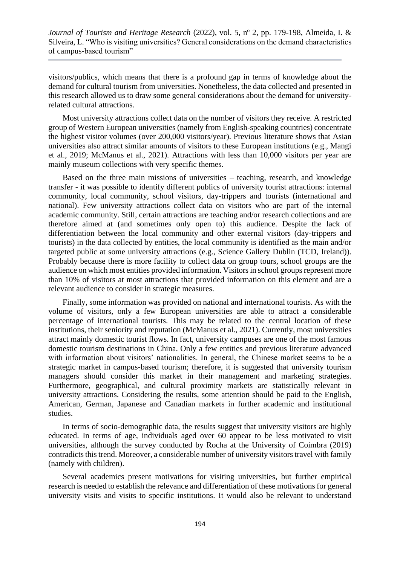visitors/publics, which means that there is a profound gap in terms of knowledge about the demand for cultural tourism from universities. Nonetheless, the data collected and presented in this research allowed us to draw some general considerations about the demand for universityrelated cultural attractions.

Most university attractions collect data on the number of visitors they receive. A restricted group of Western European universities (namely from English-speaking countries) concentrate the highest visitor volumes (over 200,000 visitors/year). Previous literature shows that Asian universities also attract similar amounts of visitors to these European institutions (e.g., Mangi et al., 2019; McManus et al., 2021). Attractions with less than 10,000 visitors per year are mainly museum collections with very specific themes.

Based on the three main missions of universities – teaching, research, and knowledge transfer - it was possible to identify different publics of university tourist attractions: internal community, local community, school visitors, day-trippers and tourists (international and national). Few university attractions collect data on visitors who are part of the internal academic community. Still, certain attractions are teaching and/or research collections and are therefore aimed at (and sometimes only open to) this audience. Despite the lack of differentiation between the local community and other external visitors (day-trippers and tourists) in the data collected by entities, the local community is identified as the main and/or targeted public at some university attractions (e.g., Science Gallery Dublin (TCD, Ireland)). Probably because there is more facility to collect data on group tours, school groups are the audience on which most entities provided information. Visitors in school groups represent more than 10% of visitors at most attractions that provided information on this element and are a relevant audience to consider in strategic measures.

Finally, some information was provided on national and international tourists. As with the volume of visitors, only a few European universities are able to attract a considerable percentage of international tourists. This may be related to the central location of these institutions, their seniority and reputation (McManus et al., 2021). Currently, most universities attract mainly domestic tourist flows. In fact, university campuses are one of the most famous domestic tourism destinations in China. Only a few entities and previous literature advanced with information about visitors' nationalities. In general, the Chinese market seems to be a strategic market in campus-based tourism; therefore, it is suggested that university tourism managers should consider this market in their management and marketing strategies. Furthermore, geographical, and cultural proximity markets are statistically relevant in university attractions. Considering the results, some attention should be paid to the English, American, German, Japanese and Canadian markets in further academic and institutional studies.

In terms of socio-demographic data, the results suggest that university visitors are highly educated. In terms of age, individuals aged over 60 appear to be less motivated to visit universities, although the survey conducted by Rocha at the University of Coimbra (2019) contradicts this trend. Moreover, a considerable number of university visitors travel with family (namely with children).

Several academics present motivations for visiting universities, but further empirical research is needed to establish the relevance and differentiation of these motivations for general university visits and visits to specific institutions. It would also be relevant to understand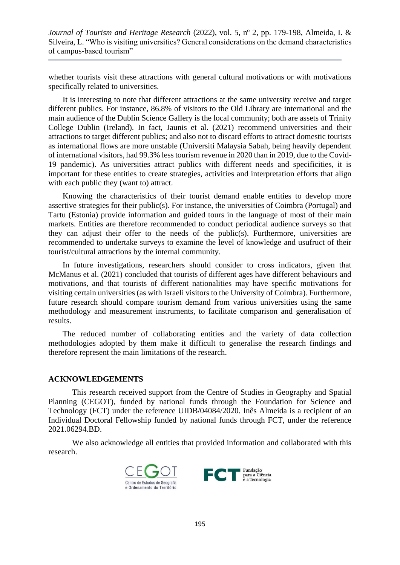whether tourists visit these attractions with general cultural motivations or with motivations specifically related to universities.

It is interesting to note that different attractions at the same university receive and target different publics. For instance, 86.8% of visitors to the Old Library are international and the main audience of the Dublin Science Gallery is the local community; both are assets of Trinity College Dublin (Ireland). In fact, Jaunis et al. (2021) recommend universities and their attractions to target different publics; and also not to discard efforts to attract domestic tourists as international flows are more unstable (Universiti Malaysia Sabah, being heavily dependent of international visitors, had 99.3% less tourism revenue in 2020 than in 2019, due to the Covid-19 pandemic). As universities attract publics with different needs and specificities, it is important for these entities to create strategies, activities and interpretation efforts that align with each public they (want to) attract.

Knowing the characteristics of their tourist demand enable entities to develop more assertive strategies for their public(s). For instance, the universities of Coimbra (Portugal) and Tartu (Estonia) provide information and guided tours in the language of most of their main markets. Entities are therefore recommended to conduct periodical audience surveys so that they can adjust their offer to the needs of the public(s). Furthermore, universities are recommended to undertake surveys to examine the level of knowledge and usufruct of their tourist/cultural attractions by the internal community.

In future investigations, researchers should consider to cross indicators, given that McManus et al. (2021) concluded that tourists of different ages have different behaviours and motivations, and that tourists of different nationalities may have specific motivations for visiting certain universities (as with Israeli visitors to the University of Coimbra). Furthermore, future research should compare tourism demand from various universities using the same methodology and measurement instruments, to facilitate comparison and generalisation of results.

The reduced number of collaborating entities and the variety of data collection methodologies adopted by them make it difficult to generalise the research findings and therefore represent the main limitations of the research.

# **ACKNOWLEDGEMENTS**

This research received support from the Centre of Studies in Geography and Spatial Planning (CEGOT), funded by national funds through the Foundation for Science and Technology (FCT) under the reference UIDB/04084/2020. Inês Almeida is a recipient of an Individual Doctoral Fellowship funded by national funds through FCT, under the reference 2021.06294.BD.

We also acknowledge all entities that provided information and collaborated with this research.



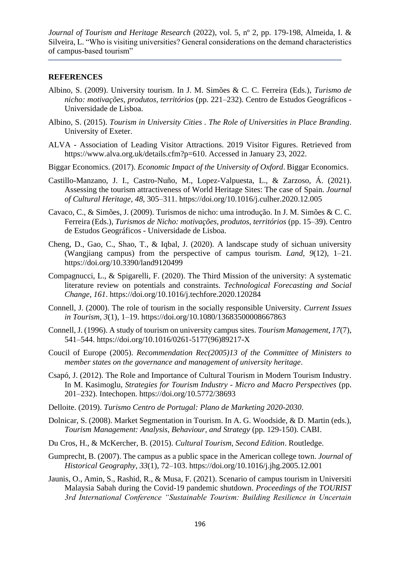## **REFERENCES**

- Albino, S. (2009). University tourism. In J. M. Simões & C. C. Ferreira (Eds.), *Turismo de nicho: motivações, produtos, territórios* (pp. 221–232). Centro de Estudos Geográficos - Universidade de Lisboa.
- Albino, S. (2015). *Tourism in University Cities . The Role of Universities in Place Branding*. University of Exeter.
- ALVA Association of Leading Visitor Attractions. 2019 Visitor Figures. Retrieved from https://www.alva.org.uk/details.cfm?p=610. Accessed in January 23, 2022.
- Biggar Economics. (2017). *Economic Impact of the University of Oxford*. Biggar Economics.
- Castillo-Manzano, J. I., Castro-Nuño, M., Lopez-Valpuesta, L., & Zarzoso, Á. (2021). Assessing the tourism attractiveness of World Heritage Sites: The case of Spain. *Journal of Cultural Heritage*, *48*, 305–311. https://doi.org/10.1016/j.culher.2020.12.005
- Cavaco, C., & Simões, J. (2009). Turismos de nicho: uma introdução. In J. M. Simões & C. C. Ferreira (Eds.), *Turismos de Nicho: motivações, produtos, territórios* (pp. 15–39). Centro de Estudos Geográficos - Universidade de Lisboa.
- Cheng, D., Gao, C., Shao, T., & Iqbal, J. (2020). A landscape study of sichuan university (Wangjiang campus) from the perspective of campus tourism. *Land*, *9*(12), 1–21. https://doi.org/10.3390/land9120499
- Compagnucci, L., & Spigarelli, F. (2020). The Third Mission of the university: A systematic literature review on potentials and constraints. *Technological Forecasting and Social Change*, *161*. https://doi.org/10.1016/j.techfore.2020.120284
- Connell, J. (2000). The role of tourism in the socially responsible University. *Current Issues in Tourism*, *3*(1), 1–19. https://doi.org/10.1080/13683500008667863
- Connell, J. (1996). A study of tourism on university campus sites. *Tourism Management*, *17*(7), 541–544. https://doi.org/10.1016/0261-5177(96)89217-X
- Coucil of Europe (2005). *Recommendation Rec(2005)13 of the Committee of Ministers to member states on the governance and management of university heritage*.
- Csapó, J. (2012). The Role and Importance of Cultural Tourism in Modern Tourism Industry. In M. Kasimoglu, *Strategies for Tourism Industry - Micro and Macro Perspectives* (pp. 201–232). Intechopen. https://doi.org/10.5772/38693
- Delloite. (2019). *Turismo Centro de Portugal: Plano de Marketing 2020-2030*.
- Dolnicar, S. (2008). Market Segmentation in Tourism. In A. G. Woodside, & D. Martin (eds.), *Tourism Management: Analysis, Behaviour, and Strategy* (pp. 129-150). CABI.
- Du Cros, H., & McKercher, B. (2015). *Cultural Tourism, Second Edition*. Routledge.
- Gumprecht, B. (2007). The campus as a public space in the American college town. *Journal of Historical Geography*, *33*(1), 72–103. https://doi.org/10.1016/j.jhg.2005.12.001
- Jaunis, O., Amin, S., Rashid, R., & Musa, F. (2021). Scenario of campus tourism in Universiti Malaysia Sabah during the Covid-19 pandemic shutdown. *Proceedings of the TOURIST 3rd International Conference "Sustainable Tourism: Building Resilience in Uncertain*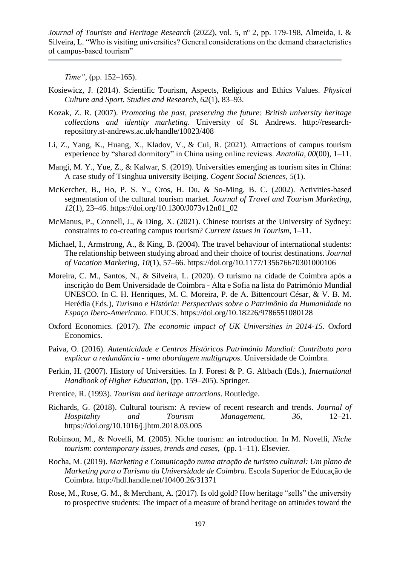*Time"*, (pp. 152–165).

- Kosiewicz, J. (2014). Scientific Tourism, Aspects, Religious and Ethics Values. *Physical Culture and Sport. Studies and Research*, *62*(1), 83–93.
- Kozak, Z. R. (2007). *Promoting the past, preserving the future: British university heritage collections and identity marketing*. University of St. Andrews. http://researchrepository.st-andrews.ac.uk/handle/10023/408
- Li, Z., Yang, K., Huang, X., Kladov, V., & Cui, R. (2021). Attractions of campus tourism experience by "shared dormitory" in China using online reviews. *Anatolia*, *00*(00), 1–11.
- Mangi, M. Y., Yue, Z., & Kalwar, S. (2019). Universities emerging as tourism sites in China: A case study of Tsinghua university Beijing. *Cogent Social Sciences*, *5*(1).
- McKercher, B., Ho, P. S. Y., Cros, H. Du, & So-Ming, B. C. (2002). Activities-based segmentation of the cultural tourism market. *Journal of Travel and Tourism Marketing*, *12*(1), 23–46. https://doi.org/10.1300/J073v12n01\_02
- McManus, P., Connell, J., & Ding, X. (2021). Chinese tourists at the University of Sydney: constraints to co-creating campus tourism? *Current Issues in Tourism*, 1–11.
- Michael, I., Armstrong, A., & King, B. (2004). The travel behaviour of international students: The relationship between studying abroad and their choice of tourist destinations. *Journal of Vacation Marketing*, *10*(1), 57–66. https://doi.org/10.1177/135676670301000106
- Moreira, C. M., Santos, N., & Silveira, L. (2020). O turismo na cidade de Coimbra após a inscrição do Bem Universidade de Coimbra - Alta e Sofia na lista do Património Mundial UNESCO. In C. H. Henriques, M. C. Moreira, P. de A. Bittencourt César, & V. B. M. Herédia (Eds.), *Turismo e História: Perspectivas sobre o Patrimônio da Humanidade no Espaço Ibero-Americano*. EDUCS. https://doi.org/10.18226/9786551080128
- Oxford Economics. (2017). *The economic impact of UK Universities in 2014-15*. Oxford Economics.
- Paiva, O. (2016). *Autenticidade e Centros Históricos Património Mundial: Contributo para explicar a redundância - uma abordagem multigrupos*. Universidade de Coimbra.
- Perkin, H. (2007). History of Universities. In J. Forest & P. G. Altbach (Eds.), *International Handbook of Higher Education,* (pp. 159–205). Springer.
- Prentice, R. (1993). *Tourism and heritage attractions*. Routledge.
- Richards, G. (2018). Cultural tourism: A review of recent research and trends. *Journal of Hospitality and Tourism Management*, *36*, 12–21. https://doi.org/10.1016/j.jhtm.2018.03.005
- Robinson, M., & Novelli, M. (2005). Niche tourism: an introduction. In M. Novelli, *Niche tourism: contemporary issues, trends and cases,* (pp. 1–11). Elsevier.
- Rocha, M. (2019). *Marketing e Comunicação numa atração de turismo cultural: Um plano de Marketing para o Turismo da Universidade de Coimbra*. Escola Superior de Educação de Coimbra. http://hdl.handle.net/10400.26/31371
- Rose, M., Rose, G. M., & Merchant, A. (2017). Is old gold? How heritage "sells" the university to prospective students: The impact of a measure of brand heritage on attitudes toward the